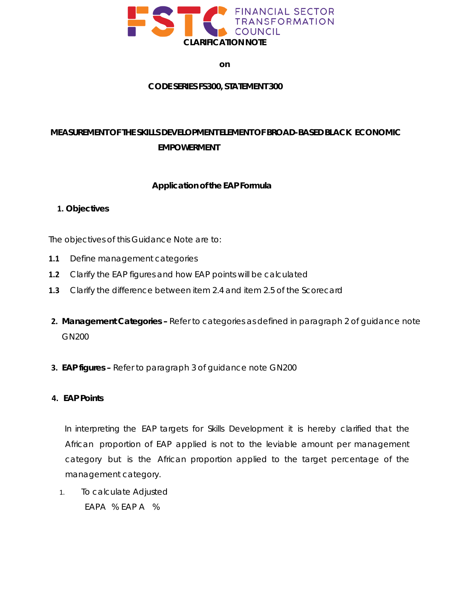

**on**

#### **CODE SERIES FS300, STATEMENT 300**

# **MEASUREMENT OF THE SKILLS DEVELOPMENT ELEMENT OF BROAD-BASED BLACK ECONOMIC EMPOWERMENT**

### **Application of the EAP Formula**

#### **1. Objectives**

The objectives of this Guidance Note are to:

- **1.1** Define management categories
- **1.2** Clarify the EAP figures and how EAP points will be calculated
- **1.3** Clarify the difference between item 2.4 and item 2.5 of the Scorecard
- **2. Management Categories –** Refer to categories as defined in paragraph 2 of guidance note GN200
- **3. EAP figures –** Refer to paragraph 3 of guidance note GN200

#### **4. EAP Points**

In interpreting the EAP targets for Skills Development it is hereby clarified that the African proportion of EAP applied is not to the leviable amount per management category but is the African proportion applied to the target percentage of the management category.

1. To calculate Adjusted EAPA % EAP A %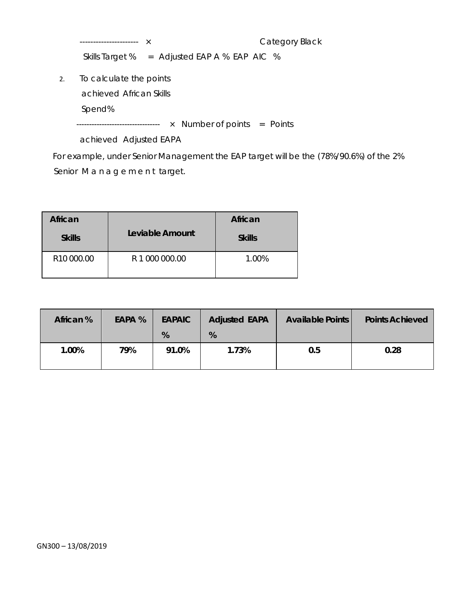---------------------- × Category Black Skills Target % = Adjusted EAP A % EAP AIC %

2. To calculate the points

achieved African Skills

Spend%

--------------------------------- × Number of points = Points

achieved Adjusted EAPA

For example, under Senior Management the EAP target will be the (78%/90.6%) of the 2% Senior Management target.

| African                |                 | African       |  |
|------------------------|-----------------|---------------|--|
| <b>Skills</b>          | Leviable Amount | <b>Skills</b> |  |
| R <sub>10</sub> 000.00 | R 1 000 000.00  | 1.00%         |  |

| African % | EAPA % | <b>EAPAIC</b><br>% | <b>Adjusted EAPA</b><br>% | <b>Available Points</b> | <b>Points Achieved</b> |
|-----------|--------|--------------------|---------------------------|-------------------------|------------------------|
| 1.00%     | 79%    | 91.0%              | 1.73%                     | 0.5                     | 0.28                   |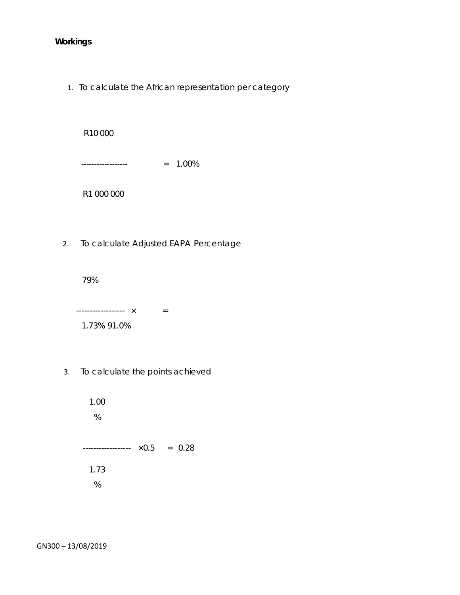## **Workings**

1. To calculate the African representation per category

R10 000 ------------------ = 1.00% R1 000 000

2. To calculate Adjusted EAPA Percentage

79%

------------------ × = 1.73% 91.0%

3. To calculate the points achieved

1.00 % ------------------ ×0.5 = 0.28 1.73 %